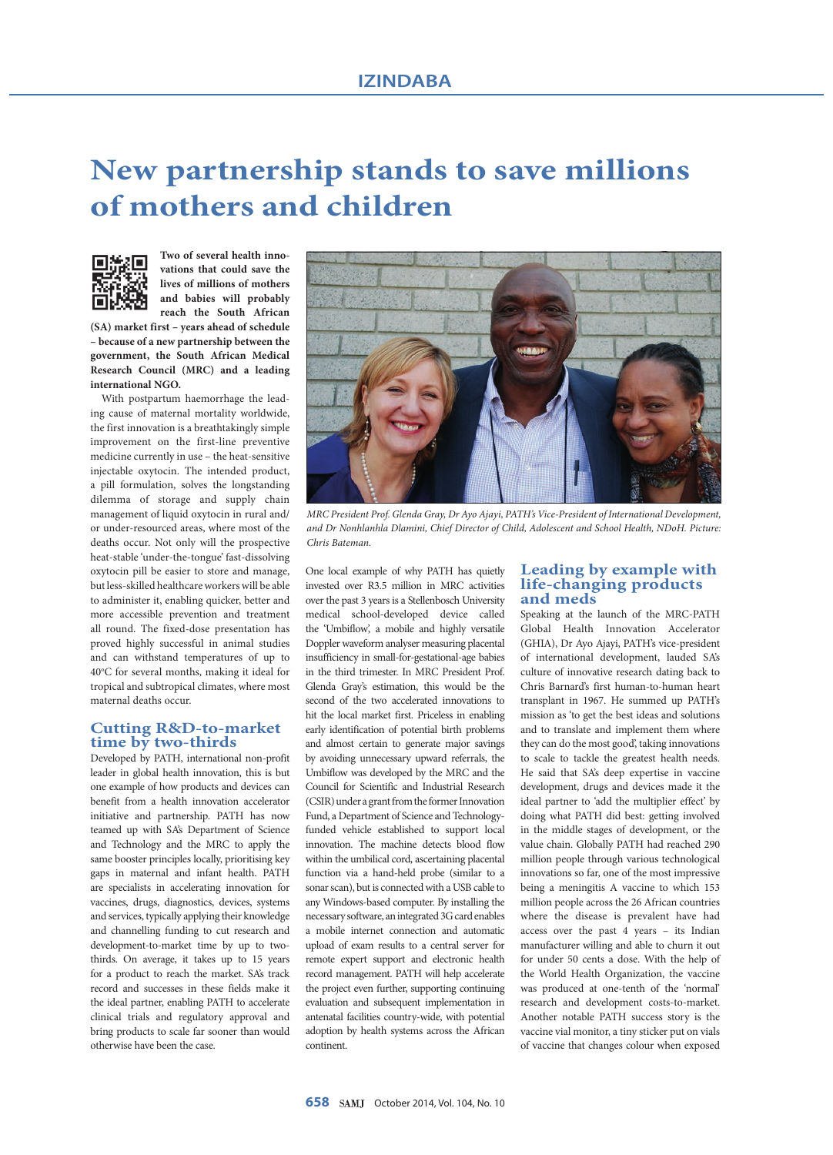# **New partnership stands to save millions of mothers and children**



**Two of several health innovations that could save the lives of millions of mothers and babies will probably reach the South African** 

**(SA) market first – years ahead of schedule – because of a new partnership between the government, the South African Medical Research Council (MRC) and a leading international NGO.**

With postpartum haemorrhage the leading cause of maternal mortality worldwide, the first innovation is a breathtakingly simple improvement on the first-line preventive medicine currently in use – the heat-sensitive injectable oxytocin. The intended product, a pill formulation, solves the longstanding dilemma of storage and supply chain management of liquid oxytocin in rural and/ or under-resourced areas, where most of the deaths occur. Not only will the prospective heat-stable 'under-the-tongue' fast-dissolving oxytocin pill be easier to store and manage, but less-skilled healthcare workers will be able to administer it, enabling quicker, better and more accessible prevention and treatment all round. The fixed-dose presentation has proved highly successful in animal studies and can withstand temperatures of up to 40°C for several months, making it ideal for tropical and subtropical climates, where most maternal deaths occur.

## **Cutting R&D-to-market time by two-thirds**

Developed by PATH, international non-profit leader in global health innovation, this is but one example of how products and devices can benefit from a health innovation accelerator initiative and partnership. PATH has now teamed up with SA's Department of Science and Technology and the MRC to apply the same booster principles locally, prioritising key gaps in maternal and infant health. PATH are specialists in accelerating innovation for vaccines, drugs, diagnostics, devices, systems and services, typically applying their knowledge and channelling funding to cut research and development-to-market time by up to twothirds. On average, it takes up to 15 years for a product to reach the market. SA's track record and successes in these fields make it the ideal partner, enabling PATH to accelerate clinical trials and regulatory approval and bring products to scale far sooner than would otherwise have been the case.



*MRC President Prof. Glenda Gray, Dr Ayo Ajayi, PATH's Vice-President of International Development, and Dr Nonhlanhla Dlamini, Chief Director of Child, Adolescent and School Health, NDoH. Picture: Chris Bateman.*

One local example of why PATH has quietly invested over R3.5 million in MRC activities over the past 3 years is a Stellenbosch University medical school-developed device called the 'Umbiflow', a mobile and highly versatile Doppler waveform analyser measuring placental insufficiency in small-for-gestational-age babies in the third trimester. In MRC President Prof. Glenda Gray's estimation, this would be the second of the two accelerated innovations to hit the local market first. Priceless in enabling early identification of potential birth problems and almost certain to generate major savings by avoiding unnecessary upward referrals, the Umbiflow was developed by the MRC and the Council for Scientific and Industrial Research (CSIR) under a grant from the former Innovation Fund, a Department of Science and Technologyfunded vehicle established to support local innovation. The machine detects blood flow within the umbilical cord, ascertaining placental function via a hand-held probe (similar to a sonar scan), but is connected with a USB cable to any Windows-based computer. By installing the necessary software, an integrated 3G card enables a mobile internet connection and automatic upload of exam results to a central server for remote expert support and electronic health record management. PATH will help accelerate the project even further, supporting continuing evaluation and subsequent implementation in antenatal facilities country-wide, with potential adoption by health systems across the African continent.

#### **Leading by example with life-changing products and meds**

Speaking at the launch of the MRC-PATH Global Health Innovation Accelerator (GHIA), Dr Ayo Ajayi, PATH's vice-president of international development, lauded SA's culture of innovative research dating back to Chris Barnard's first human-to-human heart transplant in 1967. He summed up PATH's mission as 'to get the best ideas and solutions and to translate and implement them where they can do the most good', taking innovations to scale to tackle the greatest health needs. He said that SA's deep expertise in vaccine development, drugs and devices made it the ideal partner to 'add the multiplier effect' by doing what PATH did best: getting involved in the middle stages of development, or the value chain. Globally PATH had reached 290 million people through various technological innovations so far, one of the most impressive being a meningitis A vaccine to which 153 million people across the 26 African countries where the disease is prevalent have had access over the past 4 years – its Indian manufacturer willing and able to churn it out for under 50 cents a dose. With the help of the World Health Organization, the vaccine was produced at one-tenth of the 'normal' research and development costs-to-market. Another notable PATH success story is the vaccine vial monitor, a tiny sticker put on vials of vaccine that changes colour when exposed